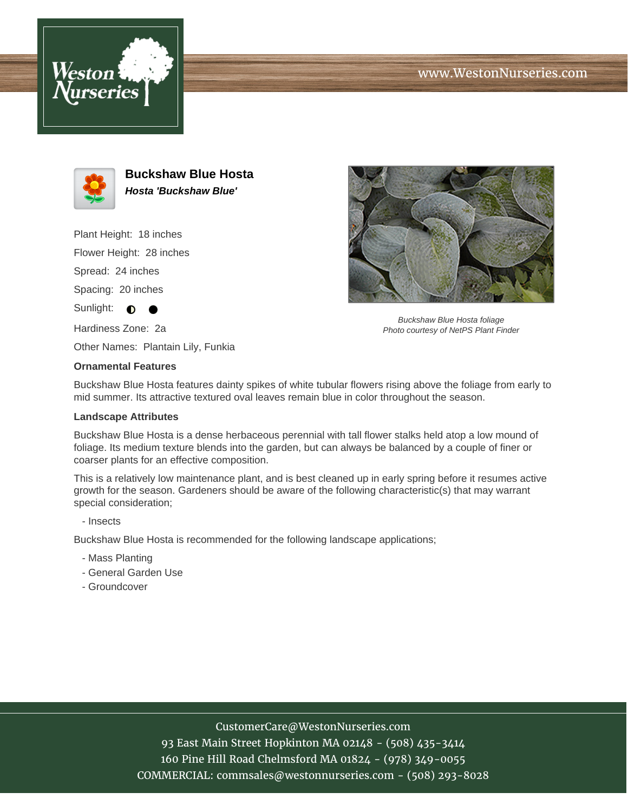





**Buckshaw Blue Hosta Hosta 'Buckshaw Blue'**

Plant Height: 18 inches

Flower Height: 28 inches

Spread: 24 inches

Spacing: 20 inches

Sunlight:  $\bullet$ 

Hardiness Zone: 2a

Other Names: Plantain Lily, Funkia

## **Ornamental Features**

Buckshaw Blue Hosta features dainty spikes of white tubular flowers rising above the foliage from early to mid summer. Its attractive textured oval leaves remain blue in color throughout the season.

## **Landscape Attributes**

Buckshaw Blue Hosta is a dense herbaceous perennial with tall flower stalks held atop a low mound of foliage. Its medium texture blends into the garden, but can always be balanced by a couple of finer or coarser plants for an effective composition.

This is a relatively low maintenance plant, and is best cleaned up in early spring before it resumes active growth for the season. Gardeners should be aware of the following characteristic(s) that may warrant special consideration;

- Insects

Buckshaw Blue Hosta is recommended for the following landscape applications;

- Mass Planting
- General Garden Use
- Groundcover

## CustomerCare@WestonNurseries.com

93 East Main Street Hopkinton MA 02148 - (508) 435-3414 160 Pine Hill Road Chelmsford MA 01824 - (978) 349-0055 COMMERCIAL: commsales@westonnurseries.com - (508) 293-8028



Buckshaw Blue Hosta foliage Photo courtesy of NetPS Plant Finder